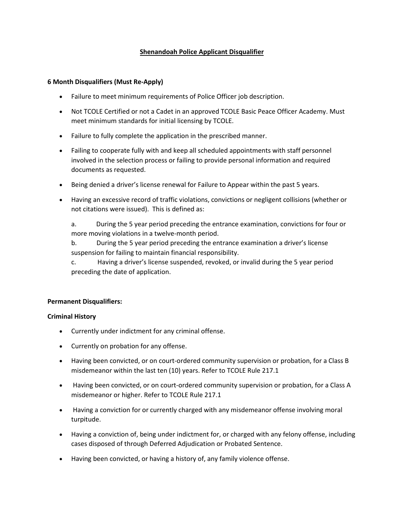# **Shenandoah Police Applicant Disqualifier**

## **6 Month Disqualifiers (Must Re-Apply)**

- Failure to meet minimum requirements of Police Officer job description.
- Not TCOLE Certified or not a Cadet in an approved TCOLE Basic Peace Officer Academy. Must meet minimum standards for initial licensing by [TCOLE.](http://texreg.sos.state.tx.us/public/readtac$ext.TacPage?sl=R&app=9&p_dir=&p_rloc=&p_tloc=&p_ploc=&pg=1&p_tac=&ti=37&pt=7&ch=217&rl=1)
- Failure to fully complete the application in the prescribed manner.
- Failing to cooperate fully with and keep all scheduled appointments with staff personnel involved in the selection process or failing to provide personal information and required documents as requested.
- Being denied a driver's license renewal for Failure to Appear within the past 5 years.
- Having an excessive record of traffic violations, convictions or negligent collisions (whether or not citations were issued). This is defined as:

a. During the 5 year period preceding the entrance examination, convictions for four or more moving violations in a twelve-month period.

b. During the 5 year period preceding the entrance examination a driver's license suspension for failing to maintain financial responsibility.

c. Having a driver's license suspended, revoked, or invalid during the 5 year period preceding the date of application.

## **Permanent Disqualifiers:**

#### **Criminal History**

- Currently under indictment for any criminal offense.
- Currently on probation for any offense.
- Having been convicted, or on court-ordered community supervision or probation, for a Class B misdemeanor within the last ten (10) years. Refer to [TCOLE Rule 217.1](http://texreg.sos.state.tx.us/public/readtac$ext.TacPage?sl=R&app=9&p_dir=&p_rloc=&p_tloc=&p_ploc=&pg=1&p_tac=&ti=37&pt=7&ch=217&rl=1)
- Having been convicted, or on court-ordered community supervision or probation, for a Class A misdemeanor or higher. Refer to TCOLE Rule 217.1
- Having a conviction for or currently charged with any misdemeanor offense involving moral turpitude.
- Having a conviction of, being under indictment for, or charged with any felony offense, including cases disposed of through Deferred Adjudication or Probated Sentence.
- Having been convicted, or having a history of, any family violence offense.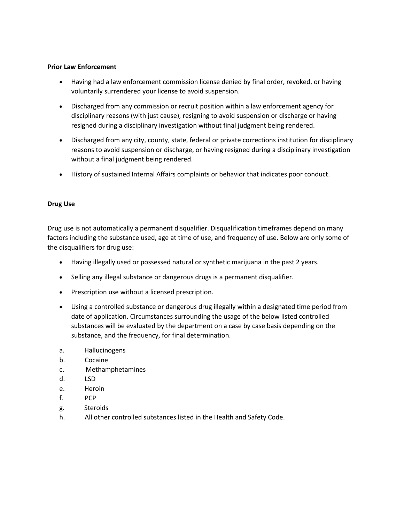## **Prior Law Enforcement**

- Having had a law enforcement commission license denied by final order, revoked, or having voluntarily surrendered your license to avoid suspension.
- Discharged from any commission or recruit position within a law enforcement agency for disciplinary reasons (with just cause), resigning to avoid suspension or discharge or having resigned during a disciplinary investigation without final judgment being rendered.
- Discharged from any city, county, state, federal or private corrections institution for disciplinary reasons to avoid suspension or discharge, or having resigned during a disciplinary investigation without a final judgment being rendered.
- History of sustained Internal Affairs complaints or behavior that indicates poor conduct.

# **Drug Use**

Drug use is not automatically a permanent disqualifier. Disqualification timeframes depend on many factors including the substance used, age at time of use, and frequency of use. Below are only some of the disqualifiers for drug use:

- Having illegally used or possessed natural or synthetic marijuana in the past 2 years.
- Selling any illegal substance or dangerous drugs is a permanent disqualifier.
- Prescription use without a licensed prescription.
- Using a controlled substance or dangerous drug illegally within a designated time period from date of application. Circumstances surrounding the usage of the below listed controlled substances will be evaluated by the department on a case by case basis depending on the substance, and the frequency, for final determination.
- a. Hallucinogens
- b. Cocaine
- c. Methamphetamines
- d. LSD
- e. Heroin
- f. PCP
- g. Steroids
- h. All other controlled substances listed in the Health and Safety Code.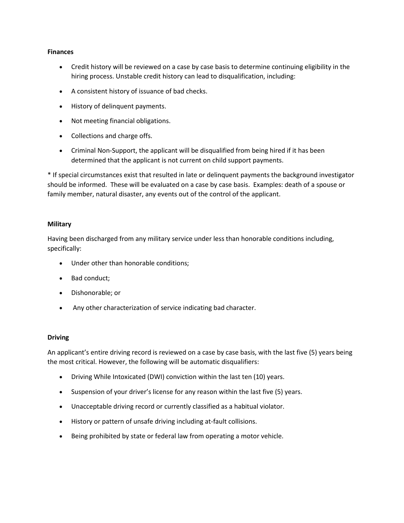### **Finances**

- Credit history will be reviewed on a case by case basis to determine continuing eligibility in the hiring process. Unstable credit history can lead to disqualification, including:
- A consistent history of issuance of bad checks.
- History of delinquent payments.
- Not meeting financial obligations.
- Collections and charge offs.
- Criminal Non-Support, the applicant will be disqualified from being hired if it has been determined that the applicant is not current on child support payments.

\* If special circumstances exist that resulted in late or delinquent payments the background investigator should be informed. These will be evaluated on a case by case basis. Examples: death of a spouse or family member, natural disaster, any events out of the control of the applicant.

## **Military**

Having been discharged from any military service under less than honorable conditions including, specifically:

- Under other than honorable conditions;
- Bad conduct;
- Dishonorable; or
- Any other characterization of service indicating bad character.

#### **Driving**

An applicant's entire driving record is reviewed on a case by case basis, with the last five (5) years being the most critical. However, the following will be automatic disqualifiers:

- Driving While Intoxicated (DWI) conviction within the last ten (10) years.
- Suspension of your driver's license for any reason within the last five (5) years.
- Unacceptable driving record or currently classified as a habitual violator.
- History or pattern of unsafe driving including at-fault collisions.
- Being prohibited by state or federal law from operating a motor vehicle.